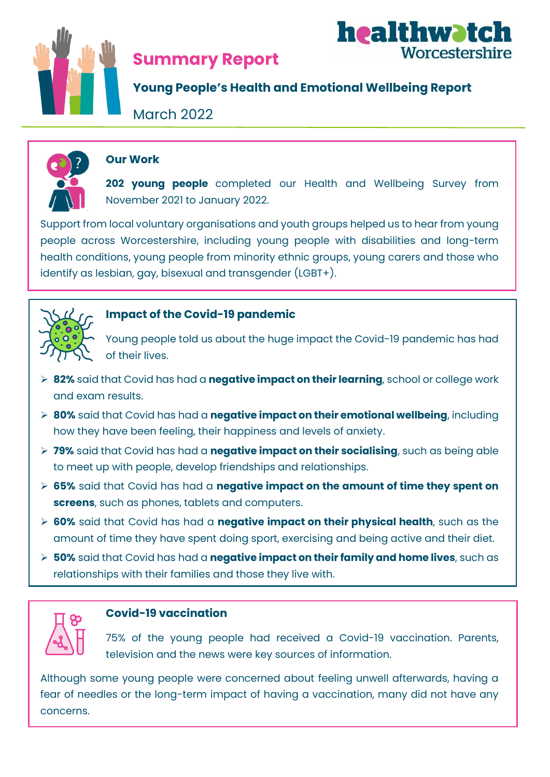

# **Summary Report**



# **Young People's Health and Emotional Wellbeing Report**

March 2022



# **Our Work**

**202 young people** completed our Health and Wellbeing Survey from November 2021 to January 2022.

Support from local voluntary organisations and youth groups helped us to hear from young people across Worcestershire, including young people with disabilities and long-term health conditions, young people from minority ethnic groups, young carers and those who identify as lesbian, gay, bisexual and transgender (LGBT+).



# **Impact of the Covid-19 pandemic**

Young people told us about the huge impact the Covid-19 pandemic has had of their lives.

- ➢ **82%** said that Covid has had a **negative impact on their learning**, school or college work and exam results.
- ➢ **80%** said that Covid has had a **negative impact on their emotional wellbeing**, including how they have been feeling, their happiness and levels of anxiety.
- ➢ **79%** said that Covid has had a **negative impact on their socialising**, such as being able to meet up with people, develop friendships and relationships.
- ➢ **65%** said that Covid has had a **negative impact on the amount of time they spent on screens**, such as phones, tablets and computers.
- ➢ **60%** said that Covid has had a **negative impact on their physical health**, such as the amount of time they have spent doing sport, exercising and being active and their diet.
- ➢ **50%** said that Covid has had a **negative impact on their family and home lives**, such as relationships with their families and those they live with.



# **Covid-19 vaccination**

75% of the young people had received a Covid-19 vaccination. Parents, television and the news were key sources of information.

Although some young people were concerned about feeling unwell afterwards, having a fear of needles or the long-term impact of having a vaccination, many did not have any concerns.